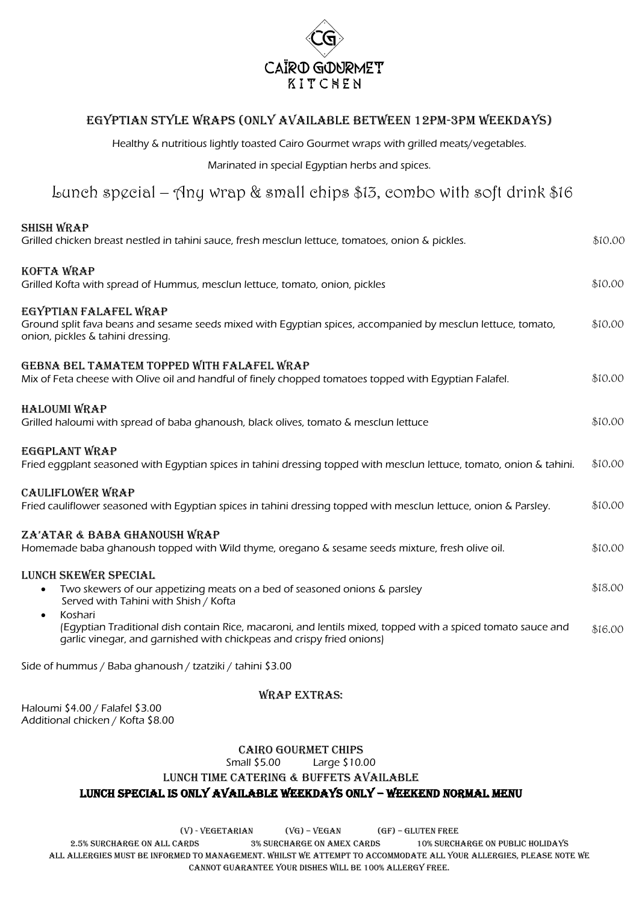

## Egyptian Style Wraps (Only available between 12pm-3pm weekdays)

Healthy & nutritious lightly toasted Cairo Gourmet wraps with grilled meats/vegetables.

Marinated in special Egyptian herbs and spices.

# Lunch special – Any wrap & small chips  $$13$ , combo with soft drink  $$16$

| <b>SHISH WRAP</b><br>Grilled chicken breast nestled in tahini sauce, fresh mesclun lettuce, tomatoes, onion & pickles.                                                                                       | \$10.00 |
|--------------------------------------------------------------------------------------------------------------------------------------------------------------------------------------------------------------|---------|
| KOFTA WRAP<br>Grilled Kofta with spread of Hummus, mesclun lettuce, tomato, onion, pickles                                                                                                                   | \$10.00 |
| EGYPTIAN FALAFEL WRAP<br>Ground split fava beans and sesame seeds mixed with Egyptian spices, accompanied by mesclun lettuce, tomato,<br>onion, pickles & tahini dressing.                                   | \$10.00 |
| GEBNA BEL TAMATEM TOPPED WITH FALAFEL WRAP<br>Mix of Feta cheese with Olive oil and handful of finely chopped tomatoes topped with Eqyptian Falafel.                                                         | \$10.00 |
| <b>HALOUMI WRAP</b><br>Grilled haloumi with spread of baba ghanoush, black olives, tomato & mesclun lettuce                                                                                                  | \$10.00 |
| EGGPLANT WRAP<br>Fried eggplant seasoned with Egyptian spices in tahini dressing topped with mesclun lettuce, tomato, onion & tahini.                                                                        | \$10.00 |
| <b>CAULIFLOWER WRAP</b><br>Fried cauliflower seasoned with Eqyptian spices in tahini dressing topped with mesclun lettuce, onion & Parsley.                                                                  | \$10.00 |
| ZA'ATAR & BABA GHANOUSH WRAP<br>Homemade baba ghanoush topped with Wild thyme, oregano & sesame seeds mixture, fresh olive oil.                                                                              | \$10.00 |
| LUNCH SKEWER SPECIAL<br>Two skewers of our appetizing meats on a bed of seasoned onions & parsley<br>Served with Tahini with Shish / Kofta                                                                   | \$18.00 |
| Koshari<br>$\bullet$<br>(Egyptian Traditional dish contain Rice, macaroni, and lentils mixed, topped with a spiced tomato sauce and<br>garlic vinegar, and garnished with chickpeas and crispy fried onions) | \$16.00 |

Side of hummus / Baba ghanoush / tzatziki / tahini \$3.00

#### Wrap Extras:

Haloumi \$4.00 / Falafel \$3.00 Additional chicken / Kofta \$8.00

#### Cairo Gourmet chips

Small \$5.00 Large \$10.00

#### Lunch Time Catering & Buffets Available

#### Lunch Special is only available weekdays only – weekend normal menu

 $(V)$  - VEGETARIAN  $(VG)$  – VEGAN (GF) – GLUTEN FREE

2.5% SURCHARGE ON ALL CARDS 3% surcharge on amex cards 10% Surcharge on public holidays ALL ALLERGIES MUST BE INFORMED TO MANAGEMENT. WHILST WE ATTEMPT TO ACCOMMODATE ALL YOUR ALLERGIES, PLEASE NOTE WE CANNOT GUARANTEE YOUR DISHES WILL BE 100% ALLERGY FREE.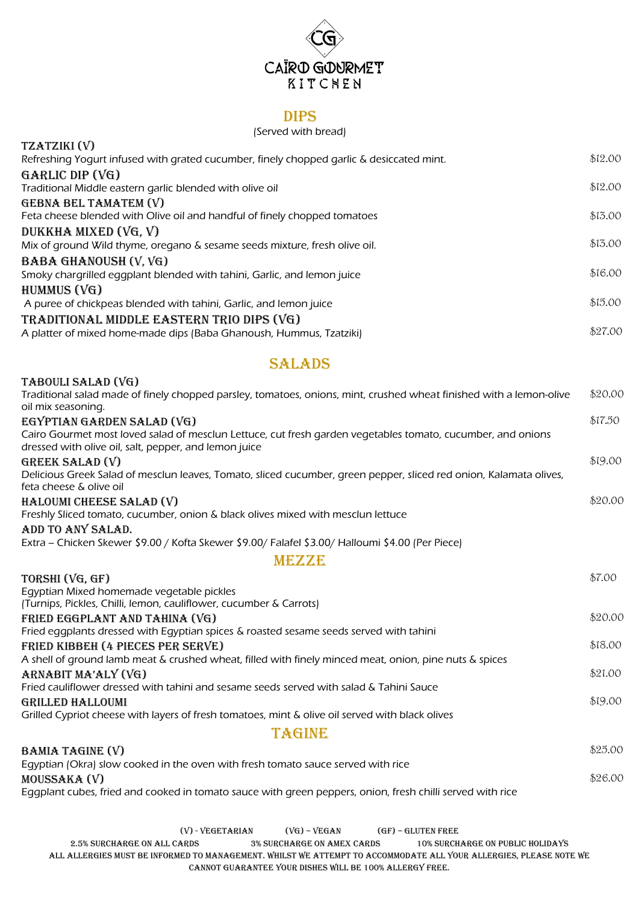# CAÏRO GOURMET KITCNEN

#### Dips

#### (Served with bread)

| TZATZIKI (V)                                                                             |         |
|------------------------------------------------------------------------------------------|---------|
| Refreshing Yogurt infused with grated cucumber, finely chopped garlic & desiccated mint. | \$12.00 |
| $GARLLC$ DIP $(VG)$                                                                      |         |
| Traditional Middle eastern garlic blended with olive oil                                 | \$12.00 |
| GEBNA BEL TAMATEM (V)                                                                    |         |
| Feta cheese blended with Olive oil and handful of finely chopped tomatoes                | \$13.00 |
| DUKKHA MIXED (VG, V)                                                                     |         |
| Mix of ground Wild thyme, oregano & sesame seeds mixture, fresh olive oil.               | \$13.00 |
| BABA GHANOUSH (V, VG)                                                                    |         |
| Smoky chargrilled eggplant blended with tahini, Garlic, and lemon juice                  | \$16.00 |
| HUMMUS $(VG)$                                                                            |         |
| A puree of chickpeas blended with tahini, Garlic, and lemon juice                        | \$15.00 |
| TRADITIONAL MIDDLE EASTERN TRIO DIPS (VG)                                                |         |
| A platter of mixed home-made dips (Baba Ghanoush, Hummus, Tzatziki)                      | \$27.00 |

## **SALADS**

| TABOULI SALAD (VG)                                                                                                                                                   |         |
|----------------------------------------------------------------------------------------------------------------------------------------------------------------------|---------|
| Traditional salad made of finely chopped parsley, tomatoes, onions, mint, crushed wheat finished with a lemon-olive<br>oil mix seasoning.                            | \$20.00 |
| EGYPTIAN GARDEN SALAD (VG)                                                                                                                                           | \$17.50 |
| Cairo Gourmet most loved salad of mesclun Lettuce, cut fresh garden vegetables tomato, cucumber, and onions<br>dressed with olive oil, salt, pepper, and lemon juice |         |
| GREEK SALAD (V)                                                                                                                                                      | \$19.00 |
| Delicious Greek Salad of mesclun leaves, Tomato, sliced cucumber, green pepper, sliced red onion, Kalamata olives,<br>feta cheese & olive oil                        |         |
| HALOUMI CHEESE SALAD (V)                                                                                                                                             | \$20.00 |
| Freshly Sliced tomato, cucumber, onion & black olives mixed with mesclun lettuce                                                                                     |         |
| ADD TO ANY SALAD.                                                                                                                                                    |         |
| Extra – Chicken Skewer \$9.00 / Kofta Skewer \$9.00/ Falafel \$3.00/ Halloumi \$4.00 (Per Piece)                                                                     |         |
| MEZZE                                                                                                                                                                |         |
| TORSHI (VG, GF)                                                                                                                                                      | \$7.00  |
| Eqyptian Mixed homemade vegetable pickles                                                                                                                            |         |
| (Turnips, Pickles, Chilli, Iemon, cauliflower, cucumber & Carrots)                                                                                                   |         |
| FRIED EGGPLANT AND TAHINA (VG)                                                                                                                                       | \$20.00 |
| Fried eggplants dressed with Egyptian spices & roasted sesame seeds served with tahini                                                                               |         |
| FRIED KIBBEH (4 PIECES PER SERVE)                                                                                                                                    | \$18.00 |
| A shell of ground lamb meat & crushed wheat, filled with finely minced meat, onion, pine nuts & spices                                                               |         |
| ARNABIT MA'ALY (VG)                                                                                                                                                  | \$21.00 |
| Fried cauliflower dressed with tahini and sesame seeds served with salad & Tahini Sauce                                                                              |         |
| <b>GRILLED HALLOUMI</b>                                                                                                                                              | \$19.00 |
| Grilled Cypriot cheese with layers of fresh tomatoes, mint & olive oil served with black olives                                                                      |         |
| <b>TAGINE</b>                                                                                                                                                        |         |
| BAMIA TAGINE (V)                                                                                                                                                     | \$25.00 |
| Egyptian (Okra) slow cooked in the oven with fresh tomato sauce served with rice                                                                                     |         |
| MOUSSAKA (V)                                                                                                                                                         | \$26.00 |
| Equipment cubes fried and cooked in tomato sauce with green penners, onion fresh chilli served with rice                                                             |         |

Eggplant cubes, fried and cooked in tomato sauce with green peppers, onion, fresh chilli served with rice

 $(V)$  - VEGETARIAN  $(VG)$  – VEGAN (GF) – GLUTEN FREE

2.5% SURCHARGE ON ALL CARDS 3% surcharge on amex cards 10% Surcharge on public holidays ALL ALLERGIES MUST BE INFORMED TO MANAGEMENT. WHILST WE ATTEMPT TO ACCOMMODATE ALL YOUR ALLERGIES, PLEASE NOTE WE CANNOT GUARANTEE YOUR DISHES WILL BE 100% ALLERGY FREE.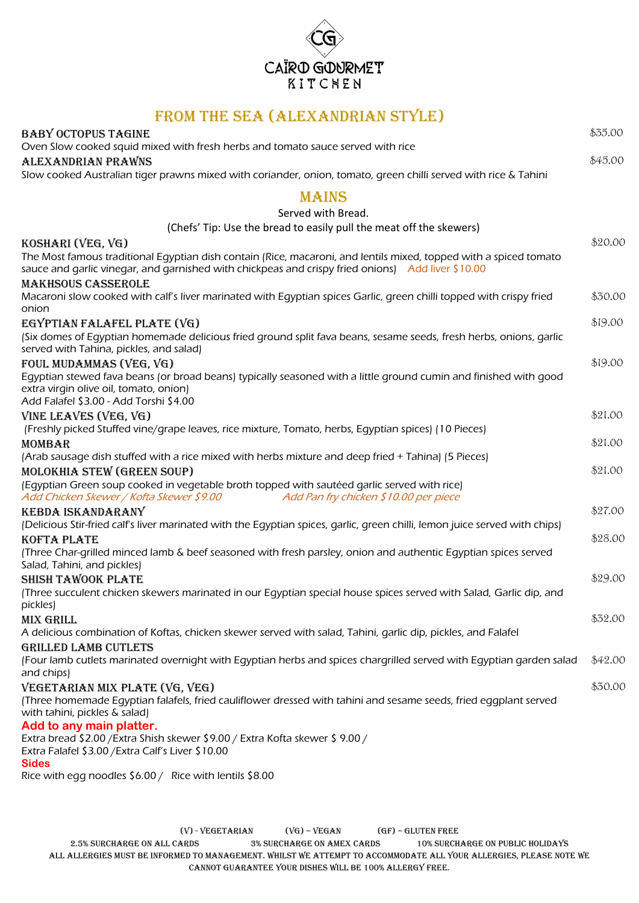

## From the Sea (Alexandrian Style)

| <b>BABY OCTOPUS TAGINE</b>                                                                                                                         | \$35.00 |
|----------------------------------------------------------------------------------------------------------------------------------------------------|---------|
| Oven Slow cooked squid mixed with fresh herbs and tomato sauce served with rice                                                                    |         |
| ALEXANDRIAN PRAWNS                                                                                                                                 | \$45.00 |
| Slow cooked Australian tiger prawns mixed with coriander, onion, tomato, green chilli served with rice & Tahini                                    |         |
|                                                                                                                                                    |         |
| <b>MAINS</b>                                                                                                                                       |         |
| Served with Bread.                                                                                                                                 |         |
| (Chefs' Tip: Use the bread to easily pull the meat off the skewers)                                                                                |         |
| KOSHARI (VEG, VG)                                                                                                                                  | \$20.00 |
| The Most famous traditional Egyptian dish contain (Rice, macaroni, and lentils mixed, topped with a spiced tomato                                  |         |
| sauce and garlic vinegar, and garnished with chickpeas and crispy fried onions) Add liver \$10.00                                                  |         |
| <b>MAKHSOUS CASSEROLE</b>                                                                                                                          |         |
| Macaroni slow cooked with calf's liver marinated with Egyptian spices Garlic, green chilli topped with crispy fried<br>onion                       | \$30.00 |
| EGYPTIAN FALAFEL PLATE (VG)                                                                                                                        | \$19.00 |
| (Six domes of Eqyptian homemade delicious fried ground split fava beans, sesame seeds, fresh herbs, onions, garlic                                 |         |
| served with Tahina, pickles, and salad)                                                                                                            |         |
| FOUL MUDAMMAS (VEG, VG)                                                                                                                            | \$19.00 |
| Eqyptian stewed fava beans (or broad beans) typically seasoned with a little ground cumin and finished with good                                   |         |
| extra virgin olive oil, tomato, onion)                                                                                                             |         |
| Add Falafel \$3.00 - Add Torshi \$4.00                                                                                                             |         |
| VINE LEAVES (VEG, VG)                                                                                                                              | \$21.00 |
| (Freshly picked Stuffed vine/grape leaves, rice mixture, Tomato, herbs, Egyptian spices) (10 Pieces)                                               |         |
| <b>MOMBAR</b>                                                                                                                                      | \$21.00 |
| (Arab sausage dish stuffed with a rice mixed with herbs mixture and deep fried + Tahina) (5 Pieces)                                                | \$21.00 |
| <b>MOLOKHIA STEW (GREEN SOUP)</b><br>(Eqyptian Green soup cooked in vegetable broth topped with sautéed garlic served with rice)                   |         |
| Add Pan fry chicken \$10.00 per piece<br>Add Chicken Skewer / Kofta Skewer \$9.00                                                                  |         |
| <b>KEBDA ISKANDARANY</b>                                                                                                                           | \$27.00 |
| (Delicious Stir-fried calf's liver marinated with the Egyptian spices, garlic, green chilli, lemon juice served with chips)                        |         |
| <b>KOFTA PLATE</b>                                                                                                                                 | \$28.00 |
| (Three Char-grilled minced lamb & beef seasoned with fresh parsley, onion and authentic Egyptian spices served                                     |         |
| Salad, Tahini, and pickles)                                                                                                                        |         |
| <b>SHISH TAWOOK PLATE</b>                                                                                                                          | \$29.00 |
| (Three succulent chicken skewers marinated in our Egyptian special house spices served with Salad, Garlic dip, and                                 |         |
| pickles)                                                                                                                                           |         |
| MIX GRILL                                                                                                                                          | \$32.00 |
| A delicious combination of Koftas, chicken skewer served with salad, Tahini, garlic dip, pickles, and Falafel                                      |         |
| GRILLED LAMB CUTLETS                                                                                                                               |         |
| (Four lamb cutlets marinated overnight with Egyptian herbs and spices chargrilled served with Egyptian garden salad                                | \$42.00 |
| and chips)                                                                                                                                         | \$30.00 |
| VEGETARIAN MIX PLATE (VG, VEG)<br>(Three homemade Egyptian falafels, fried cauliflower dressed with tahini and sesame seeds, fried eggplant served |         |
| with tahini, pickles & salad)                                                                                                                      |         |
| Add to any main platter.                                                                                                                           |         |
| Extra bread \$2.00 / Extra Shish skewer \$9.00 / Extra Kofta skewer \$9.00 /                                                                       |         |
| Extra Falafel \$3.00 / Extra Calf's Liver \$10.00                                                                                                  |         |
| <b>Sides</b>                                                                                                                                       |         |
| Rice with egg noodles \$6.00 / Rice with lentils \$8.00                                                                                            |         |

 $(V)$  - VEGETARIAN  $(VG)$  – VEGAN (GF) – GLUTEN FREE

2.5% SURCHARGE ON ALL CARDS 3% surcharge on amex cards 10% Surcharge on public holidays ALL ALLERGIES MUST BE INFORMED TO MANAGEMENT. WHILST WE ATTEMPT TO ACCOMMODATE ALL YOUR ALLERGIES, PLEASE NOTE WE CANNOT GUARANTEE YOUR DISHES WILL BE 100% ALLERGY FREE.